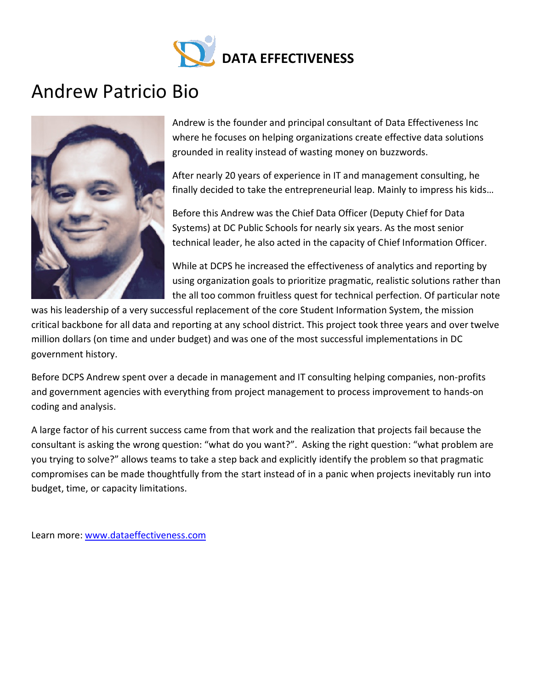

# Andrew Patricio Bio



Andrew is the founder and principal consultant of Data Effectiveness Inc where he focuses on helping organizations create effective data solutions grounded in reality instead of wasting money on buzzwords.

After nearly 20 years of experience in IT and management consulting, he finally decided to take the entrepreneurial leap. Mainly to impress his kids…

Before this Andrew was the Chief Data Officer (Deputy Chief for Data Systems) at DC Public Schools for nearly six years. As the most senior technical leader, he also acted in the capacity of Chief Information Officer.

While at DCPS he increased the effectiveness of analytics and reporting by using organization goals to prioritize pragmatic, realistic solutions rather than the all too common fruitless quest for technical perfection. Of particular note

was his leadership of a very successful replacement of the core Student Information System, the mission critical backbone for all data and reporting at any school district. This project took three years and over twelve million dollars (on time and under budget) and was one of the most successful implementations in DC government history.

Before DCPS Andrew spent over a decade in management and IT consulting helping companies, non-profits and government agencies with everything from project management to process improvement to hands-on coding and analysis.

A large factor of his current success came from that work and the realization that projects fail because the consultant is asking the wrong question: "what do you want?". Asking the right question: "what problem are you trying to solve?" allows teams to take a step back and explicitly identify the problem so that pragmatic compromises can be made thoughtfully from the start instead of in a panic when projects inevitably run into budget, time, or capacity limitations.

Learn more: [www.dataeffectiveness.com](http://www.dataeffectiveness.com/)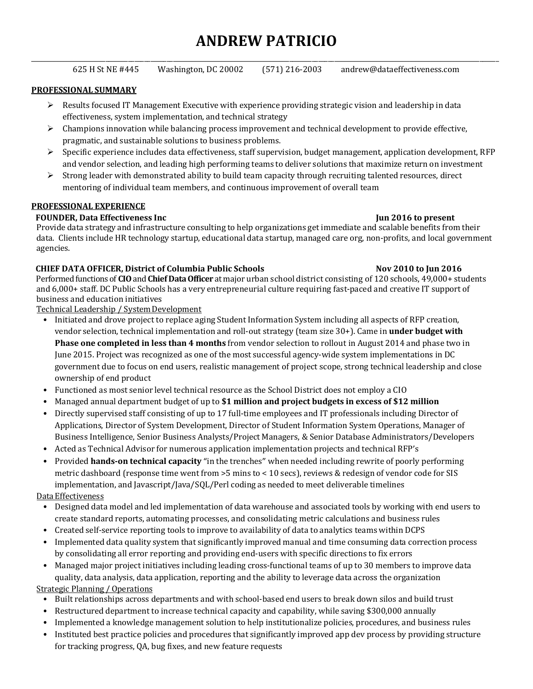# **ANDREW PATRICIO**

| 625 H St NE #445 | Washington, DC 20002 | $(571)$ 216-2003 | andrew@dataeffectiveness.com |
|------------------|----------------------|------------------|------------------------------|

### **PROFESSIONAL SUMMARY**

- $\triangleright$  Results focused IT Management Executive with experience providing strategic vision and leadership in data effectiveness, system implementation, and technical strategy
- $\triangleright$  Champions innovation while balancing process improvement and technical development to provide effective, pragmatic, and sustainable solutions to business problems.
- $\triangleright$  Specific experience includes data effectiveness, staff supervision, budget management, application development, RFP and vendor selection, and leading high performing teams to deliver solutions that maximize return on investment
- $\triangleright$  Strong leader with demonstrated ability to build team capacity through recruiting talented resources, direct mentoring of individual team members, and continuous improvement of overall team

### **PROFESSIONAL EXPERIENCE**

### **FOUNDER, Data Effectiveness Inc June 2016 June 2016 June 2016 June 2016 June 2016 June 2016 June 2016 June 2016 June 2016 June 2016 June 2016 June 2016 June 2016 June 2016 June 2016 June 20**

Provide data strategy and infrastructure consulting to help organizations get immediate and scalable benefits from their data. Clients include HR technology startup, educational data startup, managed care org, non-profits, and local government agencies.

# **CHIEF DATA OFFICER, District of Columbia Public Schools Nov 2010 to Jun 2016**

Performed functions of **CIO**and **Chief Data Officer** at major urban school district consisting of 120 schools, 49,000+ students and 6,000+ staff. DC Public Schools has a very entrepreneurial culture requiring fast-paced and creative IT support of business and education initiatives

Technical Leadership / System Development

- Initiated and drove project to replace aging Student Information System including all aspects of RFP creation, vendor selection, technical implementation and roll-out strategy (team size 30+). Came in **under budget with Phase one completed in less than 4 months** from vendor selection to rollout in August 2014 and phase two in June 2015. Project was recognized as one of the most successful agency-wide system implementations in DC government due to focus on end users, realistic management of project scope, strong technical leadership and close ownership of end product
- Functioned as most senior level technical resource as the School District does not employ a CIO
- Managed annual department budget of up to **\$1 million and project budgets in excess of \$12 million**
- Directly supervised staff consisting of up to 17 full-time employees and IT professionals including Director of Applications, Director of System Development, Director of Student Information System Operations, Manager of Business Intelligence, Senior Business Analysts/Project Managers, & Senior Database Administrators/Developers
- Acted as Technical Advisor for numerous application implementation projects and technical RFP's
- Provided **hands-on technical capacity** "in the trenches" when needed including rewrite of poorly performing metric dashboard (response time went from >5 mins to < 10 secs), reviews & redesign of vendor code for SIS implementation, and Javascript/Java/SQL/Perl coding as needed to meet deliverable timelines

### Data Effectiveness

- Designed data model and led implementation of data warehouse and associated tools by working with end users to create standard reports, automating processes, and consolidating metric calculations and business rules
- Created self-service reporting tools to improve to availability of data to analytics teams within DCPS
- Implemented data quality system that significantly improved manual and time consuming data correction process by consolidating all error reporting and providing end-users with specific directions to fix errors
- Managed major project initiatives including leading cross-functional teams of up to 30 members to improve data quality, data analysis, data application, reporting and the ability to leverage data across the organization

# Strategic Planning / Operations

- Built relationships across departments and with school-based end users to break down silos and build trust
- Restructured department to increase technical capacity and capability, while saving \$300,000 annually
- Implemented a knowledge management solution to help institutionalize policies, procedures, and business rules
- Instituted best practice policies and procedures that significantly improved app dev process by providing structure for tracking progress, QA, bug fixes, and new feature requests